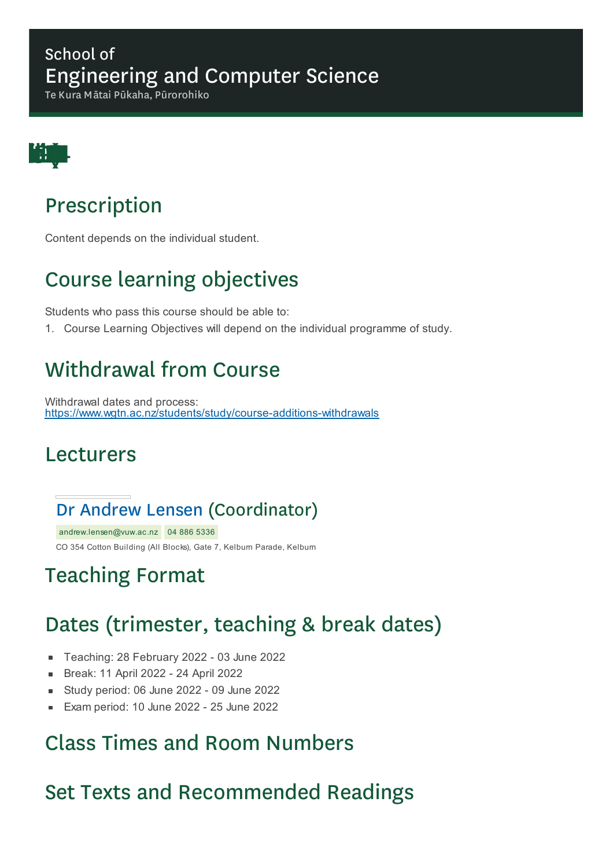#### School of Engineering and Computer Science

Te Kura Mātai Pūkaha, Pūrorohiko



## Prescription

Content depends on the individual student.

# Course learning objectives

Students who pass this course should be able to:

1. Course Learning Objectives will depend on the individual programme of study.

## Withdrawal from Course

Withdrawal dates and process: https://www.wgtn.ac.nz/students/study/course-additions-withdrawals

#### Lecturers

#### Dr Andrew Lensen (Coordinator)

andrew.lensen@vuw.ac.nz 04 886 5336 CO 354 Cotton Building (All Blocks), Gate 7, Kelburn Parade, Kelburn

## Teaching Format

## Dates (trimester, teaching & break dates)

- Teaching: 28 February 2022 03 June 2022  $\blacksquare$
- Break: 11 April 2022 24 April 2022
- Study period: 06 June 2022 09 June 2022  $\blacksquare$
- Exam period: 10 June 2022 25 June 2022  $\blacksquare$

#### Class Times and Room Numbers

### Set Texts and Recommended Readings